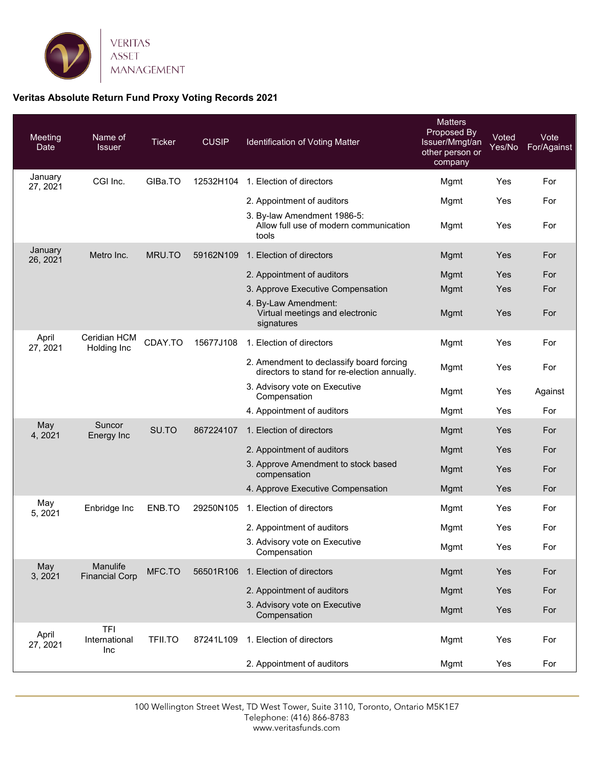

## **Veritas Absolute Return Fund Proxy Voting Records 2021**

| <b>Meeting</b><br>Date | Name of<br><b>Issuer</b>           | <b>Ticker</b>  | <b>CUSIP</b> | Identification of Voting Matter                                                          | <b>Matters</b><br>Proposed By<br>Issuer/Mmgt/an<br>other person or<br>company | Voted<br>Yes/No | Vote<br>For/Against |
|------------------------|------------------------------------|----------------|--------------|------------------------------------------------------------------------------------------|-------------------------------------------------------------------------------|-----------------|---------------------|
| January<br>27, 2021    | CGI Inc.                           | GIBa.TO        | 12532H104    | 1. Election of directors                                                                 | Mgmt                                                                          | Yes             | For                 |
|                        |                                    |                |              | 2. Appointment of auditors                                                               | Mgmt                                                                          | Yes             | For                 |
|                        |                                    |                |              | 3. By-law Amendment 1986-5:<br>Allow full use of modern communication<br>tools           | Mgmt                                                                          | Yes             | For                 |
| January<br>26, 2021    | Metro Inc.                         | MRU.TO         | 59162N109    | 1. Election of directors                                                                 | Mgmt                                                                          | Yes             | For                 |
|                        |                                    |                |              | 2. Appointment of auditors                                                               | <b>Mgmt</b>                                                                   | Yes             | For                 |
|                        |                                    |                |              | 3. Approve Executive Compensation                                                        | Mgmt                                                                          | Yes             | For                 |
|                        |                                    |                |              | 4. By-Law Amendment:<br>Virtual meetings and electronic<br>signatures                    | Mgmt                                                                          | Yes             | For                 |
| April<br>27, 2021      | Ceridian HCM<br>Holding Inc        | CDAY.TO        | 15677J108    | 1. Election of directors                                                                 | Mgmt                                                                          | Yes             | For                 |
|                        |                                    |                |              | 2. Amendment to declassify board forcing<br>directors to stand for re-election annually. | Mgmt                                                                          | Yes             | For                 |
|                        |                                    |                |              | 3. Advisory vote on Executive<br>Compensation                                            | Mgmt                                                                          | Yes             | Against             |
|                        |                                    |                |              | 4. Appointment of auditors                                                               | Mgmt                                                                          | Yes             | For                 |
| May<br>4, 2021         | Suncor<br>Energy Inc               | SU.TO          | 867224107    | 1. Election of directors                                                                 | <b>Mgmt</b>                                                                   | Yes             | For                 |
|                        |                                    |                |              | 2. Appointment of auditors                                                               | <b>Mgmt</b>                                                                   | Yes             | For                 |
|                        |                                    |                |              | 3. Approve Amendment to stock based<br>compensation                                      | Mgmt                                                                          | Yes             | For                 |
|                        |                                    |                |              | 4. Approve Executive Compensation                                                        | <b>Mgmt</b>                                                                   | Yes             | For                 |
| May<br>5, 2021         | Enbridge Inc                       | ENB.TO         | 29250N105    | 1. Election of directors                                                                 | Mgmt                                                                          | Yes             | For                 |
|                        |                                    |                |              | 2. Appointment of auditors                                                               | Mgmt                                                                          | Yes             | For                 |
|                        |                                    |                |              | 3. Advisory vote on Executive<br>Compensation                                            | Mgmt                                                                          | Yes             | For                 |
| May<br>3, 2021         | Manulife<br><b>Financial Corp</b>  | MFC.TO         | 56501R106    | 1. Election of directors                                                                 | Mgmt                                                                          | Yes             | For                 |
|                        |                                    |                |              | 2. Appointment of auditors                                                               | Mgmt                                                                          | Yes             | For                 |
|                        |                                    |                |              | 3. Advisory vote on Executive<br>Compensation                                            | Mgmt                                                                          | Yes             | For                 |
| April<br>27, 2021      | <b>TFI</b><br>International<br>Inc | <b>TFII.TO</b> | 87241L109    | 1. Election of directors                                                                 | Mgmt                                                                          | Yes             | For                 |
|                        |                                    |                |              | 2. Appointment of auditors                                                               | Mgmt                                                                          | Yes             | For                 |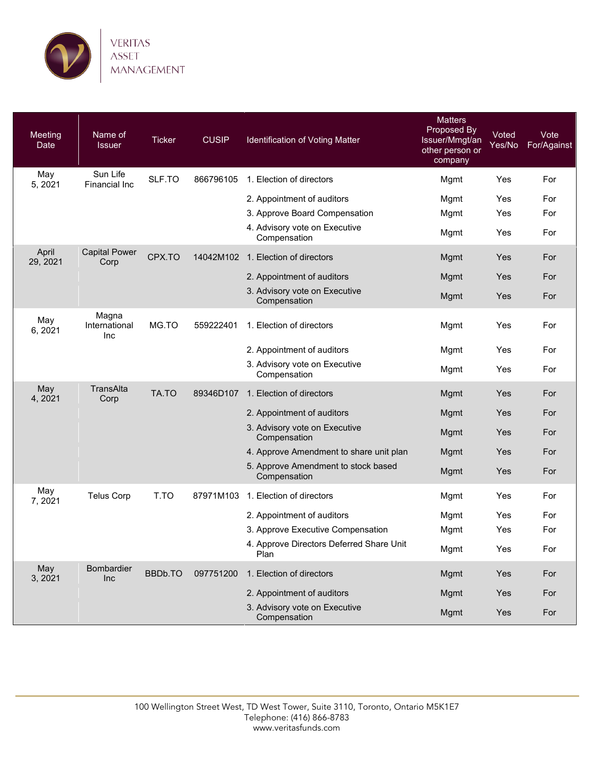

| Meeting<br>Date   | Name of<br><b>Issuer</b>      | <b>Ticker</b> | <b>CUSIP</b> | Identification of Voting Matter                     | <b>Matters</b><br>Proposed By<br>Issuer/Mmgt/an<br>other person or<br>company | Voted<br>Yes/No | Vote<br>For/Against |
|-------------------|-------------------------------|---------------|--------------|-----------------------------------------------------|-------------------------------------------------------------------------------|-----------------|---------------------|
| May<br>5, 2021    | Sun Life<br>Financial Inc     | SLF.TO        | 866796105    | 1. Election of directors                            | Mgmt                                                                          | Yes             | For                 |
|                   |                               |               |              | 2. Appointment of auditors                          | Mgmt                                                                          | Yes             | For                 |
|                   |                               |               |              | 3. Approve Board Compensation                       | Mgmt                                                                          | Yes             | For                 |
|                   |                               |               |              | 4. Advisory vote on Executive<br>Compensation       | Mgmt                                                                          | Yes             | For                 |
| April<br>29, 2021 | <b>Capital Power</b><br>Corp  | CPX.TO        | 14042M102    | 1. Election of directors                            | Mgmt                                                                          | Yes             | For                 |
|                   |                               |               |              | 2. Appointment of auditors                          | Mgmt                                                                          | Yes             | For                 |
|                   |                               |               |              | 3. Advisory vote on Executive<br>Compensation       | Mgmt                                                                          | Yes             | For                 |
| May<br>6, 2021    | Magna<br>International<br>Inc | MG.TO         | 559222401    | 1. Election of directors                            | Mgmt                                                                          | Yes             | For                 |
|                   |                               |               |              | 2. Appointment of auditors                          | Mgmt                                                                          | Yes             | For                 |
|                   |                               |               |              | 3. Advisory vote on Executive<br>Compensation       | Mgmt                                                                          | Yes             | For                 |
| May<br>4, 2021    | TransAlta<br>Corp             | TA.TO         | 89346D107    | 1. Election of directors                            | Mgmt                                                                          | Yes             | For                 |
|                   |                               |               |              | 2. Appointment of auditors                          | Mgmt                                                                          | Yes             | For                 |
|                   |                               |               |              | 3. Advisory vote on Executive<br>Compensation       | Mgmt                                                                          | Yes             | For                 |
|                   |                               |               |              | 4. Approve Amendment to share unit plan             | Mgmt                                                                          | Yes             | For                 |
|                   |                               |               |              | 5. Approve Amendment to stock based<br>Compensation | Mgmt                                                                          | Yes             | For                 |
| May<br>7, 2021    | <b>Telus Corp</b>             | T.TO          | 87971M103    | 1. Election of directors                            | Mgmt                                                                          | Yes             | For                 |
|                   |                               |               |              | 2. Appointment of auditors                          | Mgmt                                                                          | Yes             | For                 |
|                   |                               |               |              | 3. Approve Executive Compensation                   | Mgmt                                                                          | Yes             | For                 |
|                   |                               |               |              | 4. Approve Directors Deferred Share Unit<br>Plan    | Mgmt                                                                          | Yes             | For                 |
| May<br>3, 2021    | Bombardier<br>Inc             | BBDb.TO       | 097751200    | 1. Election of directors                            | Mgmt                                                                          | Yes             | For                 |
|                   |                               |               |              | 2. Appointment of auditors                          | Mgmt                                                                          | Yes             | For                 |
|                   |                               |               |              | 3. Advisory vote on Executive<br>Compensation       | Mgmt                                                                          | Yes             | For                 |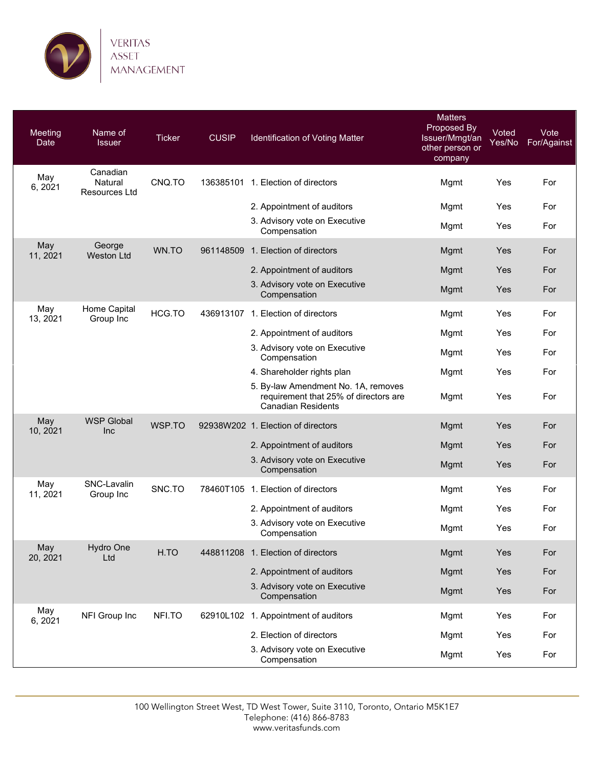

| Meeting<br>Date | Name of<br><b>Issuer</b>             | <b>Ticker</b> | <b>CUSIP</b> | Identification of Voting Matter                                                                           | <b>Matters</b><br>Proposed By<br>Issuer/Mmgt/an<br>other person or<br>company | Voted<br>Yes/No | Vote<br>For/Against |
|-----------------|--------------------------------------|---------------|--------------|-----------------------------------------------------------------------------------------------------------|-------------------------------------------------------------------------------|-----------------|---------------------|
| May<br>6, 2021  | Canadian<br>Natural<br>Resources Ltd | CNQ.TO        |              | 136385101 1. Election of directors                                                                        | Mgmt                                                                          | Yes             | For                 |
|                 |                                      |               |              | 2. Appointment of auditors                                                                                | Mgmt                                                                          | Yes             | For                 |
|                 |                                      |               |              | 3. Advisory vote on Executive<br>Compensation                                                             | Mgmt                                                                          | Yes             | For                 |
| May<br>11, 2021 | George<br><b>Weston Ltd</b>          | WN.TO         |              | 961148509 1. Election of directors                                                                        | Mgmt                                                                          | Yes             | For                 |
|                 |                                      |               |              | 2. Appointment of auditors                                                                                | Mgmt                                                                          | Yes             | For                 |
|                 |                                      |               |              | 3. Advisory vote on Executive<br>Compensation                                                             | Mgmt                                                                          | Yes             | For                 |
| May<br>13, 2021 | Home Capital<br>Group Inc            | HCG.TO        |              | 436913107 1. Election of directors                                                                        | Mgmt                                                                          | Yes             | For                 |
|                 |                                      |               |              | 2. Appointment of auditors                                                                                | Mgmt                                                                          | Yes             | For                 |
|                 |                                      |               |              | 3. Advisory vote on Executive<br>Compensation                                                             | Mgmt                                                                          | Yes             | For                 |
|                 |                                      |               |              | 4. Shareholder rights plan                                                                                | Mgmt                                                                          | Yes             | For                 |
|                 |                                      |               |              | 5. By-law Amendment No. 1A, removes<br>requirement that 25% of directors are<br><b>Canadian Residents</b> | Mgmt                                                                          | Yes             | For                 |
| May<br>10, 2021 | <b>WSP Global</b><br>Inc             | WSP.TO        |              | 92938W202 1. Election of directors                                                                        | Mgmt                                                                          | Yes             | For                 |
|                 |                                      |               |              | 2. Appointment of auditors                                                                                | Mgmt                                                                          | Yes             | For                 |
|                 |                                      |               |              | 3. Advisory vote on Executive<br>Compensation                                                             | Mgmt                                                                          | Yes             | For                 |
| May<br>11, 2021 | SNC-Lavalin<br>Group Inc             | SNC.TO        |              | 78460T105 1. Election of directors                                                                        | Mgmt                                                                          | Yes             | For                 |
|                 |                                      |               |              | 2. Appointment of auditors                                                                                | Mgmt                                                                          | Yes             | For                 |
|                 |                                      |               |              | 3. Advisory vote on Executive<br>Compensation                                                             | Mgmt                                                                          | Yes             | For                 |
| May<br>20, 2021 | Hydro One<br>Ltd                     | H.TO          |              | 448811208 1. Election of directors                                                                        | Mgmt                                                                          | Yes             | For                 |
|                 |                                      |               |              | 2. Appointment of auditors                                                                                | Mgmt                                                                          | Yes             | For                 |
|                 |                                      |               |              | 3. Advisory vote on Executive<br>Compensation                                                             | Mgmt                                                                          | Yes             | For                 |
| May<br>6, 2021  | NFI Group Inc                        | NFI.TO        |              | 62910L102 1. Appointment of auditors                                                                      | Mgmt                                                                          | Yes             | For                 |
|                 |                                      |               |              | 2. Election of directors                                                                                  | Mgmt                                                                          | Yes             | For                 |
|                 |                                      |               |              | 3. Advisory vote on Executive<br>Compensation                                                             | Mgmt                                                                          | Yes             | For                 |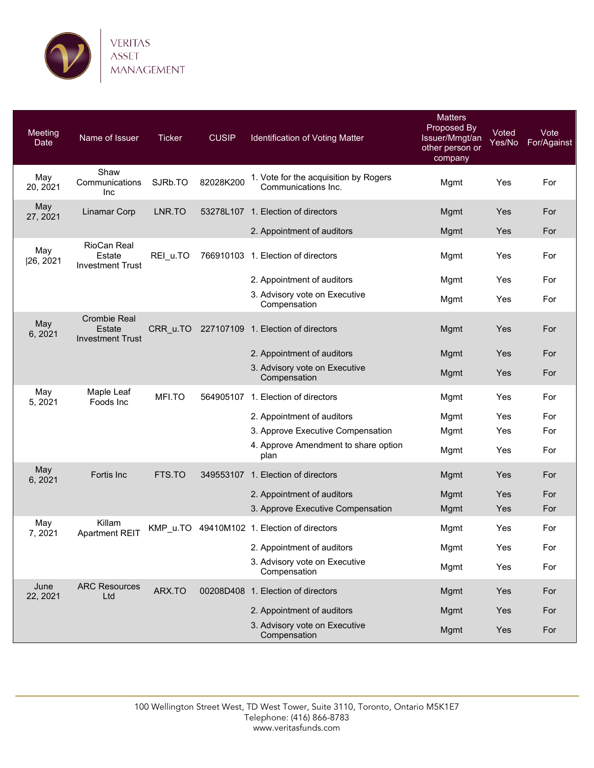

| Meeting<br>Date  | Name of Issuer                                                  | <b>Ticker</b> | <b>CUSIP</b> | Identification of Voting Matter                              | <b>Matters</b><br>Proposed By<br>Issuer/Mmgt/an<br>other person or<br>company | Voted<br>Yes/No | Vote<br>For/Against |
|------------------|-----------------------------------------------------------------|---------------|--------------|--------------------------------------------------------------|-------------------------------------------------------------------------------|-----------------|---------------------|
| May<br>20, 2021  | Shaw<br>Communications<br><b>Inc</b>                            | SJRb.TO       | 82028K200    | 1. Vote for the acquisition by Rogers<br>Communications Inc. | Mgmt                                                                          | Yes             | For                 |
| May<br>27, 2021  | Linamar Corp                                                    | LNR.TO        |              | 53278L107 1. Election of directors                           | Mgmt                                                                          | Yes             | For                 |
|                  |                                                                 |               |              | 2. Appointment of auditors                                   | Mgmt                                                                          | Yes             | For                 |
| May<br> 26, 2021 | RioCan Real<br>Estate<br><b>Investment Trust</b>                | REI_u.TO      |              | 766910103 1. Election of directors                           | Mgmt                                                                          | Yes             | For                 |
|                  |                                                                 |               |              | 2. Appointment of auditors                                   | Mgmt                                                                          | Yes             | For                 |
|                  |                                                                 |               |              | 3. Advisory vote on Executive<br>Compensation                | Mgmt                                                                          | Yes             | For                 |
| May<br>6, 2021   | <b>Crombie Real</b><br><b>Estate</b><br><b>Investment Trust</b> | CRR_u.TO      |              | 227107109 1. Election of directors                           | Mgmt                                                                          | Yes             | For                 |
|                  |                                                                 |               |              | 2. Appointment of auditors                                   | Mgmt                                                                          | Yes             | For                 |
|                  |                                                                 |               |              | 3. Advisory vote on Executive<br>Compensation                | Mgmt                                                                          | Yes             | For                 |
| May<br>5, 2021   | Maple Leaf<br>Foods Inc                                         | MFI.TO        |              | 564905107 1. Election of directors                           | Mgmt                                                                          | Yes             | For                 |
|                  |                                                                 |               |              | 2. Appointment of auditors                                   | Mgmt                                                                          | Yes             | For                 |
|                  |                                                                 |               |              | 3. Approve Executive Compensation                            | Mgmt                                                                          | Yes             | For                 |
|                  |                                                                 |               |              | 4. Approve Amendment to share option<br>plan                 | Mgmt                                                                          | Yes             | For                 |
| May<br>6, 2021   | Fortis Inc                                                      | FTS.TO        |              | 349553107 1. Election of directors                           | Mgmt                                                                          | Yes             | For                 |
|                  |                                                                 |               |              | 2. Appointment of auditors                                   | Mgmt                                                                          | Yes             | For                 |
|                  |                                                                 |               |              | 3. Approve Executive Compensation                            | Mgmt                                                                          | Yes             | For                 |
| May<br>7,2021    | Killam<br><b>Apartment REIT</b>                                 | KMP_u.TO      |              | 49410M102 1. Election of directors                           | Mgmt                                                                          | Yes             | For                 |
|                  |                                                                 |               |              | 2. Appointment of auditors                                   | Mgmt                                                                          | Yes             | For                 |
|                  |                                                                 |               |              | 3. Advisory vote on Executive<br>Compensation                | Mgmt                                                                          | Yes             | For                 |
| June<br>22, 2021 | <b>ARC Resources</b><br>Ltd                                     | ARX.TO        |              | 00208D408 1. Election of directors                           | Mgmt                                                                          | Yes             | For                 |
|                  |                                                                 |               |              | 2. Appointment of auditors                                   | Mgmt                                                                          | Yes             | For                 |
|                  |                                                                 |               |              | 3. Advisory vote on Executive<br>Compensation                | Mgmt                                                                          | Yes             | For                 |